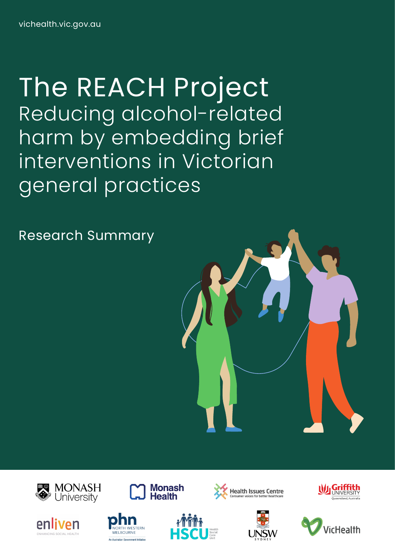The REACH Project Reducing alcohol-related harm by embedding brief interventions in Victorian general practices













**Monash** 

**Health** 







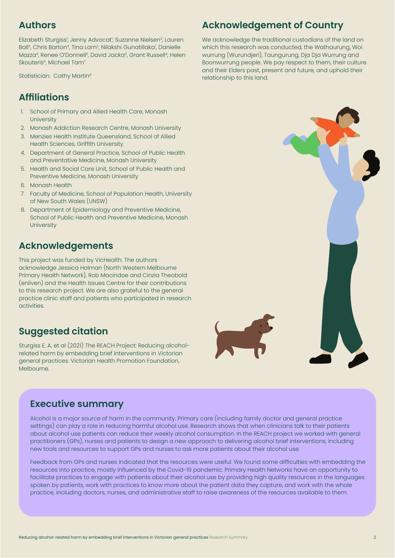# **Authors**

Elizabeth Sturgiss<sup>i</sup>, Jenny Advocat<sup>i</sup>, Suzanne Nielsen<sup>2</sup>, Lauren Ball<sup>3</sup>, Chris Barton<sup>4</sup>, Tina Lam<sup>2</sup>, Nilakshi Gunatillaka<sup>1</sup>, Danielle Mazza<sup>4</sup>, Renee O'Donnell<sup>5</sup>, David Jacka<sup>6</sup>, Grant Russell<sup>4</sup>, Helen Skouteris<sup>5</sup>, Michael Tam<sup>7</sup>

Statistician: Cathy Martin<sup>8</sup>

# **Affiliations**

- 1. School of Primary and Allied Health Care, Monash **University**
- 2. Monash Addiction Research Centre, Monash University
- 3. Menzies Health Institute Queensland, School of Allied Health Sciences, Griffith University
- 4. Department of General Practice, School of Public Health and Preventative Medicine, Monash University
- 5. Health and Social Care Unit, School of Public Health and Preventive Medicine, Monash University
- 6. Monash Health
- 7. Faculty of Medicine, School of Population Health, University of New South Wales (UNSW)
- 8. Department of Epidemiology and Preventive Medicine, School of Public Health and Preventive Medicine, Monash **University**

# **Acknowledgements**

This project was funded by VicHealth. The authors acknowledge Jessica Holman (North Western Melbourne Primary Health Network), Rob Macindoe and Cinzia Theobold (enliven) and the Health Issues Centre for their contributions to this research project. We are also grateful to the general practice clinic staff and patients who participated in research activities.

# **Suggested citation**

Sturgiss E. A. et al (2021) The REACH Project: Reducing alcoholrelated harm by embedding brief interventions in Victorian general practices. Victorian Health Promotion Foundation, Melbourne.

# **Executive summary**

Alcohol is a major source of harm in the community. Primary care (including family doctor and general practice settings) can play a role in reducing harmful alcohol use. Research shows that when clinicians talk to their patients about alcohol use patients can reduce their weekly alcohol consumption. In the REACH project we worked with general practitioners (GPs), nurses and patients to design a new approach to delivering alcohol brief interventions, including new tools and resources to support GPs and nurses to ask more patients about their alcohol use.

Feedback from GPs and nurses indicated that the resources were useful. We found some difficulties with embedding the resources into practice, mostly influenced by the Covid-19 pandemic. Primary Health Networks have an opportunity to facilitate practices to engage with patients about their alcohol use by providing high quality resources in the languages spoken by patients, work with practices to know more about the patient data they capture, and work with the whole practice, including doctors, nurses, and administrative staff to raise awareness of the resources available to them.

# **Acknowledgement of Country**

We acknowledge the traditional custodians of the land on which this research was conducted, the Wathaurung, Woi wurrung (Wurundjeri), Taungurung, Dja Dja Wurrung and Boonwurrung people. We pay respect to them, their culture and their Elders past, present and future, and uphold their relationship to this land.

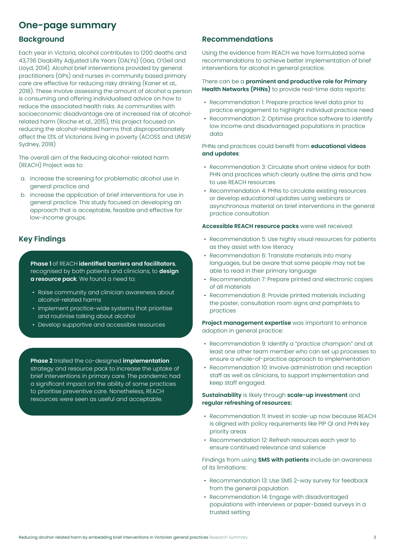# **One-page summary**

### **Background**

Each year in Victoria, alcohol contributes to 1200 deaths and 43,736 Disability Adjusted Life Years (DALYs) (Gao, O'Geil and Lloyd, 2014). Alcohol brief interventions provided by general practitioners (GPs) and nurses in community based primary care are effective for reducing risky drinking (Kaner et al., 2018). These involve assessing the amount of alcohol a person is consuming and offering individualised advice on how to reduce the associated health risks. As communities with socioeconomic disadvantage are at increased risk of alcoholrelated harm (Roche et al., 2015), this project focused on reducing the alcohol-related harms that disproportionately affect the 13% of Victorians living in poverty (ACOSS and UNSW Sydney, 2018)

The overall aim of the Reducing alcohol-related harm (REACH) Project was to:

- a. increase the screening for problematic alcohol use in general practice and
- b. increase the application of brief interventions for use in general practice. This study focused on developing an approach that is acceptable, feasible and effective for low-income groups.

# **Key Findings**

**Phase 1** of REACH **identified barriers and facilitators**, recognised by both patients and clinicians, to **design a resource pack**. We found a need to:

- Raise community and clinician awareness about alcohol-related harms
- Implement practice-wide systems that prioritise and routinise talking about alcohol
- Develop supportive and accessible resources

**Phase 2** trialled the co-designed **implementation** strategy and resource pack to increase the uptake of brief interventions in primary care. The pandemic had a significant impact on the ability of some practices to prioritise preventive care. Nonetheless, REACH resources were seen as useful and acceptable.

### **Recommendations**

Using the evidence from REACH we have formulated some recommendations to achieve better implementation of brief interventions for alcohol in general practice.

#### There can be a **prominent and productive role for Primary Health Networks (PHNs)** to provide real-time data reports:

- Recommendation 1: Prepare practice level data prior to practice engagement to highlight individual practice need
- Recommendation 2: Optimise practice software to identify low income and disadvantaged populations in practice data

PHNs and practices could benefit from **educational videos and updates**:

- Recommendation 3: Circulate short online videos for both PHN and practices which clearly outline the aims and how to use REACH resources
- Recommendation 4: PHNs to circulate existing resources or develop educational updates using webinars or asynchronous material on brief interventions in the general practice consultation

#### **Accessible REACH resource packs** were well received:

- Recommendation 5: Use highly visual resources for patients as they assist with low literacy
- Recommendation 6: Translate materials into many languages, but be aware that some people may not be able to read in their primary language
- Recommendation 7: Prepare printed and electronic copies of all materials
- Recommendation 8: Provide printed materials including the poster, consultation room signs and pamphlets to practices

**Project management expertise** was important to enhance adoption in general practice:

- Recommendation 9: Identify a "practice champion" and at least one other team member who can set up processes to ensure a whole-of-practice approach to implementation
- Recommendation 10: Involve administration and reception staff as well as clinicians, to support implementation and keep staff engaged.

#### **Sustainability** is likely through **scale-up investment** and **regular refreshing of resources:**

- Recommendation 11: Invest in scale-up now because REACH is aligned with policy requirements like PIP QI and PHN key priority areas
- Recommendation 12: Refresh resources each year to ensure continued relevance and salience

Findings from using **SMS with patients** include an awareness of its limitations:

- Recommendation 13: Use SMS 2-way survey for feedback from the general population
- Recommendation 14: Engage with disadvantaged populations with interviews or paper-based surveys in a trusted setting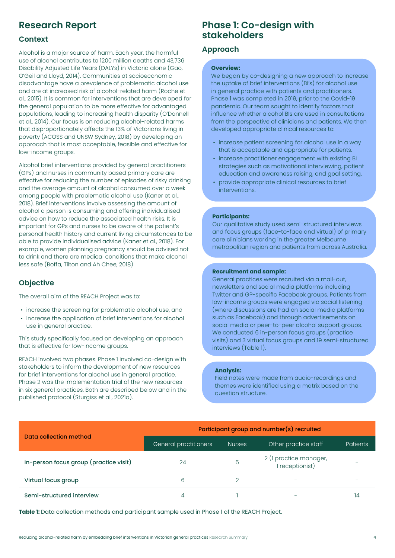# **Research Report**

### **Context**

Alcohol is a major source of harm. Each year, the harmful use of alcohol contributes to 1200 million deaths and 43,736 Disability Adjusted Life Years (DALYs) in Victoria alone (Gao, O'Geil and Lloyd, 2014). Communities at socioeconomic disadvantage have a prevalence of problematic alcohol use and are at increased risk of alcohol-related harm (Roche et al., 2015). It is common for interventions that are developed for the general population to be more effective for advantaged populations, leading to increasing health disparity (O'Donnell et al., 2014). Our focus is on reducing alcohol-related harms that disproportionately affects the 13% of Victorians living in poverty (ACOSS and UNSW Sydney, 2018) by developing an approach that is most acceptable, feasible and effective for low-income groups.

Alcohol brief interventions provided by general practitioners (GPs) and nurses in community based primary care are effective for reducing the number of episodes of risky drinking and the average amount of alcohol consumed over a week among people with problematic alcohol use (Kaner et al., 2018). Brief interventions involve assessing the amount of alcohol a person is consuming and offering individualised advice on how to reduce the associated health risks. It is important for GPs and nurses to be aware of the patient's personal health history and current living circumstances to be able to provide individualised advice (Kaner et al., 2018). For example, women planning pregnancy should be advised not to drink and there are medical conditions that make alcohol less safe (Boffa, Tilton and Ah Chee, 2018)

# **Objective**

The overall aim of the REACH Project was to:

- increase the screening for problematic alcohol use, and
- increase the application of brief interventions for alcohol use in general practice.

This study specifically focused on developing an approach that is effective for low-income groups.

REACH involved two phases. Phase 1 involved co-design with stakeholders to inform the development of new resources for brief interventions for alcohol use in general practice. Phase 2 was the implementation trial of the new resources in six general practices. Both are described below and in the published protocol (Sturgiss et al., 2021a).

# **Phase 1: Co-design with stakeholders**

### **Approach**

#### **Overview:**

We began by co-designing a new approach to increase the uptake of brief interventions (BI's) for alcohol use in general practice with patients and practitioners. Phase 1 was completed in 2019, prior to the Covid-19 pandemic. Our team sought to identify factors that influence whether alcohol BIs are used in consultations from the perspective of clinicians and patients. We then developed appropriate clinical resources to:

- increase patient screening for alcohol use in a way that is acceptable and appropriate for patients.
- increase practitioner engagement with existing BI strategies such as motivational interviewing, patient education and awareness raising, and goal setting.
- provide appropriate clinical resources to brief interventions.

#### **Participants:**

Our qualitative study used semi-structured interviews and focus groups (face-to-face and virtual) of primary care clinicians working in the greater Melbourne metropolitan region and patients from across Australia.

#### **Recruitment and sample:**

General practices were recruited via a mail-out, newsletters and social media platforms including Twitter and GP-specific Facebook groups. Patients from low-income groups were engaged via social listening (where discussions are had on social media platforms such as Facebook) and through advertisements on social media or peer-to-peer alcohol support groups. We conducted 6 in-person focus groups (practice visits) and 3 virtual focus groups and 19 semi-structured interviews (Table 1).

#### **Analysis:**

Field notes were made from audio-recordings and themes were identified using a matrix based on the question structure.

|                                        | Participant group and number(s) recruited |               |                                           |          |  |  |  |
|----------------------------------------|-------------------------------------------|---------------|-------------------------------------------|----------|--|--|--|
| Data collection method                 | General practitioners                     | <b>Nurses</b> | Other practice staff                      | Patients |  |  |  |
| In-person focus group (practice visit) | 24                                        | 5             | 2 (1 practice manager,<br>1 receptionist) |          |  |  |  |
| Virtual focus group                    | 6                                         |               |                                           |          |  |  |  |
| Semi-structured interview              |                                           |               |                                           | 14       |  |  |  |

**Table 1:** Data collection methods and participant sample used in Phase 1 of the REACH Project.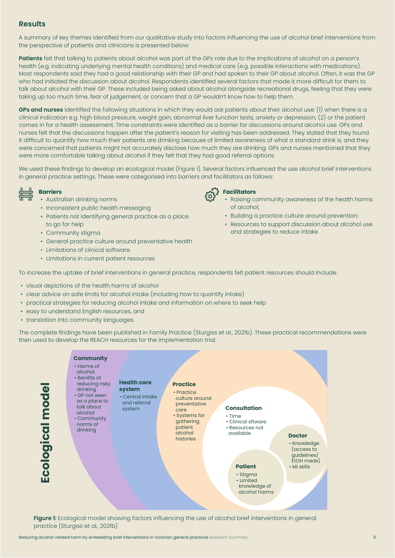# **Results**

A summary of key themes identified from our qualitative study into factors influencing the use of alcohol brief interventions from the perspective of patients and clinicians is presented below:

**Patients** felt that talking to patients about alcohol was part of the GPs role due to the implications of alcohol on a person's health (e.g. indicating underlying mental health conditions) and medical care (e.g. possible interactions with medications). Most respondents said they had a good relationship with their GP and had spoken to their GP about alcohol. Often, it was the GP who had initiated the discussion about alcohol. Respondents identified several factors that made it more difficult for them to talk about alcohol with their GP. These included being asked about alcohol alongside recreational drugs, feeling that they were taking up too much time, fear of judgement, or concern that a GP wouldn't know how to help them.

**GPs and nurses** identified the following situations in which they would ask patients about their alcohol use: (1) when there is a clinical indication e.g. high blood pressure, weight gain, abnormal liver function tests, anxiety or depression; (2) or the patient comes in for a health assessment. Time constraints were identified as a barrier for discussions around alcohol use. GPs and nurses felt that the discussions happen after the patient's reason for visiting has been addressed. They stated that they found it difficult to quantify how much their patients are drinking because of limited awareness of what a standard drink is, and they were concerned that patients might not accurately disclose how much they are drinking. GPs and nurses mentioned that they were more comfortable talking about alcohol if they felt that they had good referral options.

We used these findings to develop an ecological model (Figure 1). Several factors influenced the use alcohol brief interventions in general practice settings. These were categorised into barriers and facilitators as follows:

# **Barriers**

- Australian drinking norms
- Inconsistent public health messaging
- Patients not identifying general practice as a place to go for help
- Community stigma
- General practice culture around preventative health
- Limitations of clinical software
- Limitations in current patient resources



- Raising community awareness of the health harms of alcohol;
- Building a practice culture around prevention;
- Resources to support discussion about alcohol use and strategies to reduce intake

To increase the uptake of brief interventions in general practice, respondents felt patient resources should include:

- visual depictions of the health harms of alcohol
- clear advice on safe limits for alcohol intake (including how to quantify intake)
- practical strategies for reducing alcohol intake and information on where to seek help
- easy to understand English resources, and
- translation into community languages.

The complete findings have been published in Family Practice (Sturgiss et al., 2021b). These practical recommendations were then used to develop the REACH resources for the implementation trial.



**Figure 1:** Ecological model showing factors influencing the use of alcohol brief interventions in general practice (Sturgiss et al., 2021b)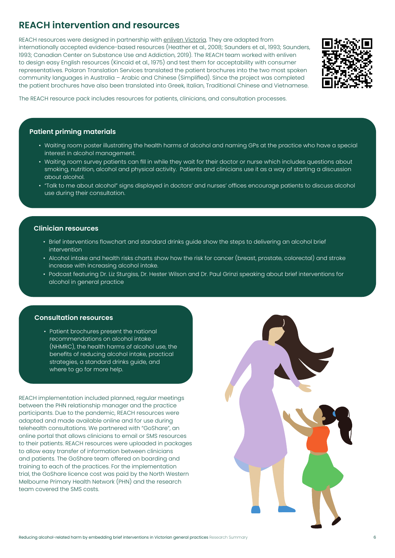# **REACH intervention and resources**

REACH resources were designed in partnership with enliven Victoria. They are adapted from internationally accepted evidence-based resources (Heather et al., 2008; Saunders et al., 1993; Saunders, 1993; Canadian Center on Substance Use and Addiction, 2019). The REACH team worked with enliven to design easy English resources (Kincaid et al., 1975) and test them for acceptability with consumer representatives. Polaron Translation Services translated the patient brochures into the two most spoken community languages in Australia – Arabic and Chinese (Simplified). Since the project was completed the patient brochures have also been translated into Greek, Italian, Traditional Chinese and Vietnamese.



The REACH resource pack includes resources for patients, clinicians, and consultation processes.

### **Patient priming materials**

- Waiting room poster illustrating the health harms of alcohol and naming GPs at the practice who have a special interest in alcohol management.
- Waiting room survey patients can fill in while they wait for their doctor or nurse which includes questions about smoking, nutrition, alcohol and physical activity. Patients and clinicians use it as a way of starting a discussion about alcohol.
- "Talk to me about alcohol" signs displayed in doctors' and nurses' offices encourage patients to discuss alcohol use during their consultation.

#### **Clinician resources**

- Brief interventions flowchart and standard drinks guide show the steps to delivering an alcohol brief intervention
- Alcohol intake and health risks charts show how the risk for cancer (breast, prostate, colorectal) and stroke increase with increasing alcohol intake.
- Podcast featuring Dr. Liz Sturgiss, Dr. Hester Wilson and Dr. Paul Grinzi speaking about brief interventions for alcohol in general practice

#### **Consultation resources**

• Patient brochures present the national recommendations on alcohol intake (NHMRC), the health harms of alcohol use, the benefits of reducing alcohol intake, practical strategies, a standard drinks guide, and where to go for more help.

REACH implementation included planned, regular meetings between the PHN relationship manager and the practice participants. Due to the pandemic, REACH resources were adapted and made available online and for use during telehealth consultations. We partnered with "GoShare", an online portal that allows clinicians to email or SMS resources to their patients. REACH resources were uploaded in packages to allow easy transfer of information between clinicians and patients. The GoShare team offered on boarding and training to each of the practices. For the implementation trial, the GoShare licence cost was paid by the North Western Melbourne Primary Health Network (PHN) and the research team covered the SMS costs.

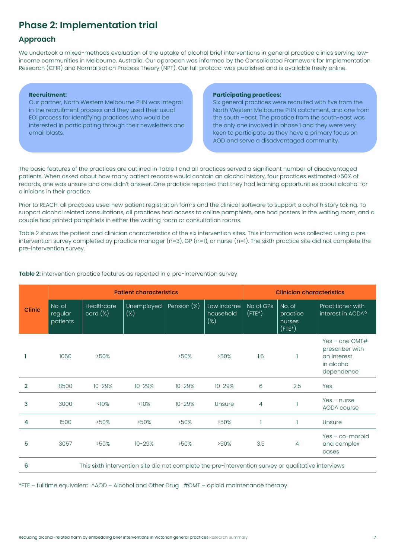# **Phase 2: Implementation trial**

# **Approach**

We undertook a mixed-methods evaluation of the uptake of alcohol brief interventions in general practice clinics serving lowincome communities in Melbourne, Australia. Our approach was informed by the Consolidated Framework for Implementation Research (CFIR) and Normalisation Process Theory (NPT). Our full protocol was published and is available freely online.

#### **Recruitment:**

Our partner, North Western Melbourne PHN was integral in the recruitment process and they used their usual EOI process for identifying practices who would be interested in participating through their newsletters and email blasts.

#### **Participating practices:**

Six general practices were recruited with five from the North Western Melbourne PHN catchment, and one from the south –east. The practice from the south-east was the only one involved in phase 1 and they were very keen to participate as they have a primary focus on AOD and serve a disadvantaged community.

The basic features of the practices are outlined in Table 1 and all practices served a significant number of disadvantaged patients. When asked about how many patient records would contain an alcohol history, four practices estimated >50% of records, one was unsure and one didn't answer. One practice reported that they had learning opportunities about alcohol for clinicians in their practice.

Prior to REACH, all practices used new patient registration forms and the clinical software to support alcohol history taking. To support alcohol related consultations, all practices had access to online pamphlets, one had posters in the waiting room, and a couple had printed pamphlets in either the waiting room or consultation rooms.

Table 2 shows the patient and clinician characteristics of the six intervention sites. This information was collected using a preintervention survey completed by practice manager (n=3), GP (n=1), or nurse (n=1). The sixth practice site did not complete the pre-intervention survey.

|        | <b>Patient characteristics</b>                                                                      |                       |                      |             | <b>Clinician characteristics</b>  |                        |                                              |                                                                                |
|--------|-----------------------------------------------------------------------------------------------------|-----------------------|----------------------|-------------|-----------------------------------|------------------------|----------------------------------------------|--------------------------------------------------------------------------------|
| Clinic | No. of<br>regular<br>patients                                                                       | Healthcare<br>card(x) | Unemployed<br>$(\%)$ | Pension (%) | Low income<br>household<br>$(\%)$ | No of GPs<br>$($ FTE*) | No. of<br>practice<br>nurses<br>$($ FTE* $)$ | Practitioner with<br>interest in AOD^?                                         |
|        | 1050                                                                                                | >50%                  |                      | >50%        | >50%                              | 1.6                    |                                              | Yes – one $OMT#$<br>prescriber with<br>an interest<br>in alcohol<br>dependence |
| 2      | 8500                                                                                                | $10 - 29%$            | $10 - 29%$           | $10 - 29%$  | $10 - 29%$                        | 6                      | 2.5                                          | Yes                                                                            |
| 3      | 3000                                                                                                | $\langle$ 10%         | $\langle$ 10%        | $10 - 29%$  | Unsure                            | $\overline{4}$         |                                              | $Yes - nurse$<br>AOD^ course                                                   |
| 4      | 1500                                                                                                | >50%                  | >50%                 | >50%        | >50%                              |                        |                                              | Unsure                                                                         |
| 5      | 3057                                                                                                | >50%                  | $10 - 29%$           | >50%        | >50%                              | 3.5                    | 4                                            | $Yes - co-morbid$<br>and complex<br>cases                                      |
| 6      | This sixth intervention site did not complete the pre-intervention survey or qualitative interviews |                       |                      |             |                                   |                        |                                              |                                                                                |

#### **Table 2:** intervention practice features as reported in a pre-intervention survey

\*FTE – fulltime equivalent ^AOD – Alcohol and Other Drug #OMT – opioid maintenance therapy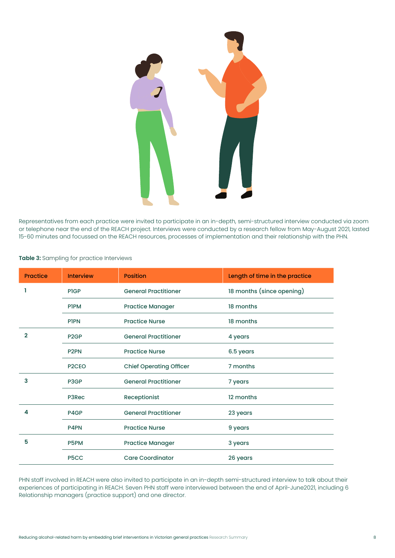

Representatives from each practice were invited to participate in an in-depth, semi-structured interview conducted via zoom or telephone near the end of the REACH project. Interviews were conducted by a research fellow from May-August 2021, lasted 15-60 minutes and focussed on the REACH resources, processes of implementation and their relationship with the PHN.

| <b>Practice</b> | <b>Interview</b>   | <b>Position</b>                | Length of time in the practice |
|-----------------|--------------------|--------------------------------|--------------------------------|
|                 | <b>PIGP</b>        | <b>General Practitioner</b>    | 18 months (since opening)      |
|                 | <b>PIPM</b>        | <b>Practice Manager</b>        | 18 months                      |
|                 | <b>PIPN</b>        | <b>Practice Nurse</b>          | 18 months                      |
| $\mathbf{2}$    | P <sub>2</sub> GP  | <b>General Practitioner</b>    | 4 years                        |
|                 | P <sub>2PN</sub>   | <b>Practice Nurse</b>          | 6.5 years                      |
|                 | P <sub>2</sub> CEO | <b>Chief Operating Officer</b> | 7 months                       |
| 3               | P3GP               | <b>General Practitioner</b>    | 7 years                        |
|                 | P3Rec              | Receptionist                   | 12 months                      |
| 4               | P4GP               | <b>General Practitioner</b>    | 23 years                       |
|                 | P4PN               | <b>Practice Nurse</b>          | 9 years                        |
| 5               | P <sub>5</sub> PM  | <b>Practice Manager</b>        | 3 years                        |
|                 | P <sub>5</sub> CC  | <b>Care Coordinator</b>        | 26 years                       |

#### **Table 3:** Sampling for practice Interviews

PHN staff involved in REACH were also invited to participate in an in-depth semi-structured interview to talk about their experiences of participating in REACH. Seven PHN staff were interviewed between the end of April-June2021, including 6 Relationship managers (practice support) and one director.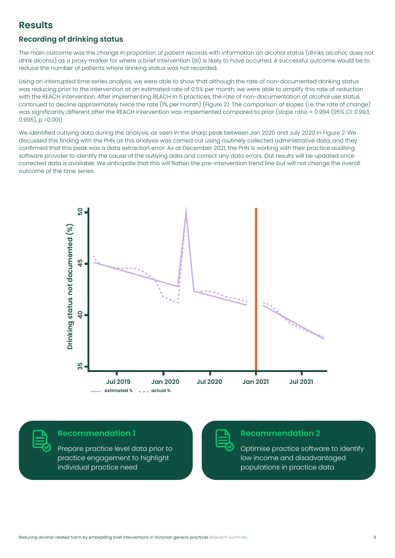# **Results**

# **Recording of drinking status**

The main outcome was the change in proportion of patient records with information on alcohol status (drinks alcohol; does not drink alcohol) as a proxy marker for where a brief intervention (BI) is likely to have occurred. A successful outcome would be to reduce the number of patients where drinking status was not recorded.

Using an interrupted time series analysis, we were able to show that although the rate of non-documented drinking status was reducing prior to the intervention at an estimated rate of 0.5% per month, we were able to amplify this rate of reduction with the REACH intervention. After implementing REACH in 5 practices, the rate of non-documentation of alcohol use status continued to decline approximately twice the rate (1% per month) (Figure 2). The comparison of slopes (i.e. the rate of change) was significantly different after the REACH intervention was implemented compared to prior (slope ratio = 0.994 (95% CI: 0.993, 0.995), p <0.001).

We identified outlying data during the analysis, as seen in the sharp peak between Jan 2020 and July 2020 in Figure 2. We discussed this finding with the PHN as this analysis was carried out using routinely collected administrative data, and they confirmed that this peak was a data extraction error. As at December 2021, the PHN is working with their practice auditing software provider to identify the cause of the outlying data and correct any data errors. Out results will be updated once corrected data is available. We anticipate that this will flatten the pre-intervention trend line but will not change the overall outcome of the time series.





### **Recommendation 1**

Prepare practice level data prior to practice engagement to highlight individual practice need



### **Recommendation 2**

Optimise practice software to identify low income and disadvantaged populations in practice data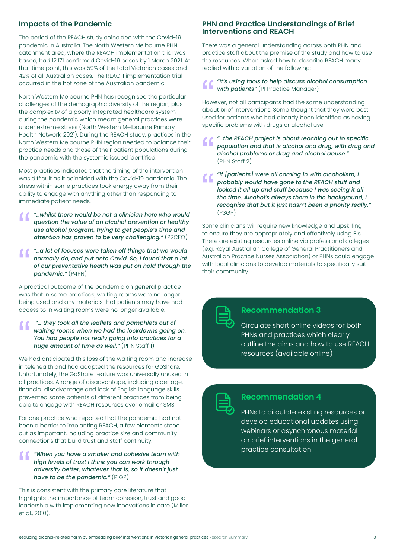### **Impacts of the Pandemic**

The period of the REACH study coincided with the Covid-19 pandemic in Australia. The North Western Melbourne PHN catchment area, where the REACH implementation trial was based, had 12,171 confirmed Covid-19 cases by 1 March 2021. At that time point, this was 59% of the total Victorian cases and 42% of all Australian cases. The REACH implementation trial occurred in the hot zone of the Australian pandemic.

North Western Melbourne PHN has recognised the particular challenges of the demographic diversity of the region, plus the complexity of a poorly integrated healthcare system during the pandemic which meant general practices were under extreme stress (North Western Melbourne Primary Health Network, 2021). During the REACH study, practices in the North Western Melbourne PHN region needed to balance their practice needs and those of their patient populations during the pandemic with the systemic issued identified.

Most practices indicated that the timing of the intervention was difficult as it coincided with the Covid-19 pandemic. The stress within some practices took energy away from their ability to engage with anything other than responding to immediate patient needs.

- *"…whilst there would be not a clinician here who would question the value of an alcohol prevention or healthy use alcohol program, trying to get people's time and attention has proven to be very challenging."* (P2CEO)
- *"…a lot of focuses were taken off things that we would normally do, and put onto Covid. So, I found that a lot of our preventative health was put on hold through the pandemic."* (P4PN)

A practical outcome of the pandemic on general practice was that in some practices, waiting rooms were no longer being used and any materials that patients may have had access to in waiting rooms were no longer available.

#### *"… they took all the leaflets and pamphlets out of waiting rooms when we had the lockdowns going on. You had people not really going into practices for a huge amount of time as well."* (PHN Staff 1)

We had anticipated this loss of the waiting room and increase in telehealth and had adapted the resources for GoShare. Unfortunately, the GoShare feature was universally unused in all practices. A range of disadvantage, including older age, financial disadvantage and lack of English language skills prevented some patients at different practices from being able to engage with REACH resources over email or SMS.

For one practice who reported that the pandemic had not been a barrier to implanting REACH, a few elements stood out as important, including practice size and community connections that build trust and staff continuity.

#### *"When you have a smaller and cohesive team with high levels of trust I think you can work through adversity better, whatever that is, so it doesn't just have to be the pandemic."* (P1GP)

This is consistent with the primary care literature that highlights the importance of team cohesion, trust and good leadership with implementing new innovations in care (Miller et al., 2010).

### **PHN and Practice Understandings of Brief Interventions and REACH**

There was a general understanding across both PHN and practice staff about the premise of the study and how to use the resources. When asked how to describe REACH many replied with a variation of the following:

#### *"It's using tools to help discuss alcohol consumption with patients"* (P1 Practice Manager)

However, not all participants had the same understanding about brief interventions. Some thought that they were best used for patients who had already been identified as having specific problems with drugs or alcohol use.

- *"…the REACH project is about reaching out to specific population and that is alcohol and drug, with drug and alcohol problems or drug and alcohol abuse."* (PHN Staff 2)
- *"if [patients] were all coming in with alcoholism, I*  " *probably would have gone to the REACH stuff and looked it all up and stuff because I was seeing it all the time. Alcohol's always there in the background, I recognise that but it just hasn't been a priority really."* (P3GP)

Some clinicians will require new knowledge and upskilling to ensure they are appropriately and effectively using BIs. There are existing resources online via professional colleges (e.g. Royal Australian College of General Practitioners and Australian Practice Nurses Association) or PHNs could engage with local clinicians to develop materials to specifically suit their community.

| and the state of the state of the state of the state of the state of the state of the state of the state of th                                                                                                                                                                                                                                                                               |
|----------------------------------------------------------------------------------------------------------------------------------------------------------------------------------------------------------------------------------------------------------------------------------------------------------------------------------------------------------------------------------------------|
| $\mathcal{L}(\mathcal{L})$ and $\mathcal{L}(\mathcal{L})$ and $\mathcal{L}(\mathcal{L})$ and $\mathcal{L}(\mathcal{L})$<br>____<br>and the state of the state of the state of the state of the state of the state of the state of the state of th<br>$\mathcal{L}(\mathcal{L})$ and $\mathcal{L}(\mathcal{L})$ and $\mathcal{L}(\mathcal{L})$ and $\mathcal{L}(\mathcal{L})$<br><b>STATE</b> |
|                                                                                                                                                                                                                                                                                                                                                                                              |

# **Recommendation 3**

Circulate short online videos for both PHNs and practices which clearly outline the aims and how to use REACH resources (available online)



# **Recommendation 4**

PHNs to circulate existing resources or develop educational updates using webinars or asynchronous material on brief interventions in the general practice consultation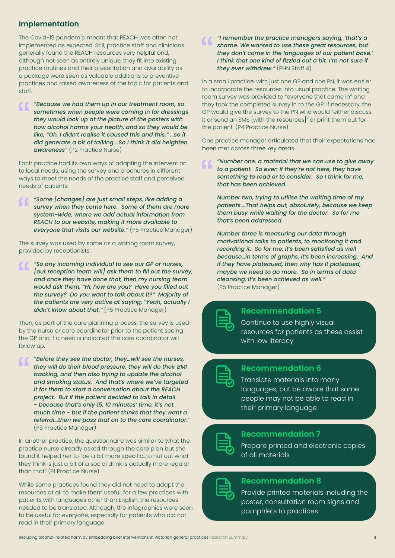# **Implementation**

The Covid-19 pandemic meant that REACH was often not implemented as expected. Still, practice staff and clinicians generally found the REACH resources very helpful and, although not seen as entirely unique, they fit into existing practice routines and their presentation and availability as a package were seen as valuable additions to preventive practices and raised awareness of the topic for patients and staff.

*"Because we had them up in our treatment room, so sometimes when people were coming in for dressings they would look up at the picture of the posters with how alcohol harms your health, and so they would be like, "Oh, I didn't realise it caused this and this." …so it did generate a bit of talking….So I think it did heighten awareness"* (P2 Practice Nurse)

Each practice had its own ways of adapting the intervention to local needs, using the survey and brochures in different ways to meet the needs of the practice staff and perceived needs of patients.

*"Some [changes] are just small steps, like adding a survey when they come here. Some of them are more system-wide, where we add actual information from REACH to our website, making it more available to everyone that visits our website."* (P5 Practice Manager)

The survey was used by some as a waiting room survey, provided by receptionists.

*"So any incoming individual to see our GP or nurses, [our reception team will] ask them to fill out the survey, and once they have done that, then my nursing team would ask them, "Hi, how are you? Have you filled out the survey? Do you want to talk about it?" Majority of the patients are very active at saying, "Yeah, actually I didn't know about that,"* (P5 Practice Manager)

Then, as part of the care planning process, the survey is used by the nurse or care coordinator prior to the patient seeing the GP and if a need is indicated the care coordinator will follow up.

*"Before they see the doctor, they…will see the nurses, they will do their blood pressure, they will do their BMI tracking, and then also trying to update the alcohol and smoking status. And that's where we've targeted it for them to start a conversation about the REACH project. But if the patient decided to talk in detail - because that's only 15, 10 minutes' time, it's not much time - but if the patient thinks that they want a referral…then we pass that on to the care coordinator.*" (P5 Practice Manager)

In another practice, the questionnaire was similar to what the practice nurse already asked through the care plan but she found it helped her to "be a bit more specific…to nut out what they think is just a bit of a social drink is actually more regular than that" (P1 Practice Nurse)

While some practices found they did not need to adapt the resources at all to make them useful, for a few practices with patients with languages other than English, the resources needed to be translated. Although, the infographics were seen to be useful for everyone, especially for patients who did not read in their primary language.

*"I remember the practice managers saying, 'that's a shame. We wanted to use these great resources, but they don't come in the languages of our patient base.' I think that one kind of fizzled out a bit. I'm not sure if they ever withdrew."* (PHN Staff 4)

In a small practice, with just one GP and one PN, it was easier to incorporate the resources into usual practice. The waiting room survey was provided to "everyone that came in" and they took the completed survey in to the GP. If necessary, the GP would give the survey to the PN who would "either discuss it or send an SMS [with the resources]" or print them out for the patient. (P4 Practice Nurse)

One practice manager articulated that their expectations had been met across three key areas.

*"Number one, a material that we can use to give away to a patient. So even if they're not here, they have something to read or to consider. So I think for me, that has been achieved.*

*Number two, trying to utilise the waiting time of my patients….That helps out, absolutely, because we keep them busy while waiting for the doctor. So for me that's been addressed.*

*Number three is measuring our data through motivational talks to patients, to monitoring it and recording it. So for me, it's been satisfied as well because…in terms of graphs, it's been increasing. And if they have plateaued, then why has it plateaued, maybe we need to do more. So in terms of data cleansing, it's been achieved as well."* (P5 Practice Manager)

| <b>Contract Contract Contract Contract Contract Contract Contract Contract Contract Contract Contract Contract Co</b><br><b>Service Service</b><br><b>Service Service</b> |
|---------------------------------------------------------------------------------------------------------------------------------------------------------------------------|
|                                                                                                                                                                           |

# **Recommendation 5**

Continue to use highly visual resources for patients as these assist with low literacy

| $\mathcal{L}(\mathcal{L})$ and $\mathcal{L}(\mathcal{L})$ and $\mathcal{L}(\mathcal{L})$ and $\mathcal{L}(\mathcal{L})$ |                                                                                                                         |  |  |
|-------------------------------------------------------------------------------------------------------------------------|-------------------------------------------------------------------------------------------------------------------------|--|--|
|                                                                                                                         | $\mathcal{L}(\mathcal{L})$ and $\mathcal{L}(\mathcal{L})$ and $\mathcal{L}(\mathcal{L})$ and $\mathcal{L}(\mathcal{L})$ |  |  |
|                                                                                                                         |                                                                                                                         |  |  |
|                                                                                                                         |                                                                                                                         |  |  |

# **Recommendation 6**

Translate materials into many languages, but be aware that some people may not be able to read in their primary language



### **Recommendation 7**

Prepare printed and electronic copies of all materials

# **Recommendation 8**

Provide printed materials including the poster, consultation room signs and pamphlets to practices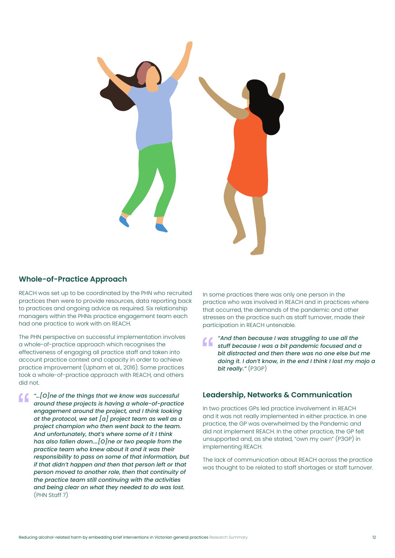

## **Whole-of-Practice Approach**

REACH was set up to be coordinated by the PHN who recruited practices then were to provide resources, data reporting back to practices and ongoing advice as required. Six relationship managers within the PHNs practice engagement team each had one practice to work with on REACH.

The PHN perspective on successful implementation involves a whole-of-practice approach which recognises the effectiveness of engaging all practice staff and taken into account practice context and capacity in order to achieve practice improvement (Upham et al., 2016). Some practices took a whole-of-practice approach with REACH, and others did not.

*"…[O]ne of the things that we know was successful around these projects is having a whole-of-practice engagement around the project, and I think looking at the protocol, we set [a] project team as well as a project champion who then went back to the team. And unfortunately, that's where some of it I think has also fallen down.…[O]ne or two people from the practice team who knew about it and it was their responsibility to pass on some of that information, but if that didn't happen and then that person left or that person moved to another role, then that continuity of the practice team still continuing with the activities and being clear on what they needed to do was lost.*  (PHN Staff 7)

In some practices there was only one person in the practice who was involved in REACH and in practices where that occurred, the demands of the pandemic and other stresses on the practice such as staff turnover, made their participation in REACH untenable.

*"And then because I was struggling to use all the stuff because I was a bit pandemic focused and a bit distracted and then there was no one else but me doing it. I don't know, in the end I think I lost my mojo a bit really."* (P3GP)

### **Leadership, Networks & Communication**

In two practices GPs led practice involvement in REACH and it was not really implemented in either practice. In one practice, the GP was overwhelmed by the Pandemic and did not implement REACH. In the other practice, the GP felt unsupported and, as she stated, "own my own" (P3GP) in implementing REACH.

The lack of communication about REACH across the practice was thought to be related to staff shortages or staff turnover.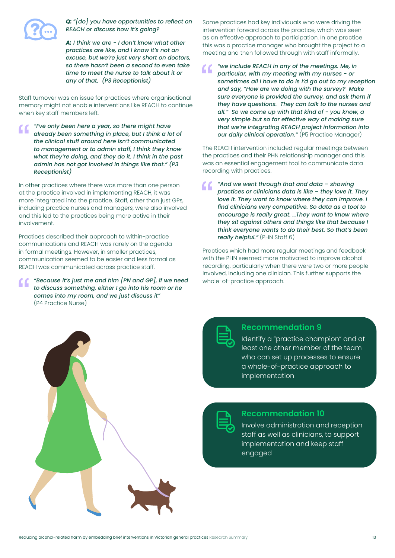

*Q: "[do] you have opportunities to reflect on REACH or discuss how it's going?*

*A: I think we are - I don't know what other practices are like, and I know it's not an excuse, but we're just very short on doctors, so there hasn't been a second to even take time to meet the nurse to talk about it or any of that. (P3 Receptionist)*

Staff turnover was an issue for practices where organisational memory might not enable interventions like REACH to continue when key staff members left.

*"I've only been here a year, so there might have already been something in place, but I think a lot of the clinical stuff around here isn't communicated to management or to admin staff, I think they know what they're doing, and they do it. I think in the past admin has not got involved in things like that." (P3 Receptionist)*

In other practices where there was more than one person at the practice involved in implementing REACH, it was more integrated into the practice. Staff, other than just GPs, including practice nurses and managers, were also involved and this led to the practices being more active in their involvement.

Practices described their approach to within-practice communications and REACH was rarely on the agenda in formal meetings. However, in smaller practices, communication seemed to be easier and less formal as REACH was communicated across practice staff.

*"Because it's just me and him [PN and GP], if we need to discuss something, either I go into his room or he comes into my room, and we just discuss it"* (P4 Practice Nurse)

Some practices had key individuals who were driving the intervention forward across the practice, which was seen as an effective approach to participation. In one practice this was a practice manager who brought the project to a meeting and then followed through with staff informally.

*"we include REACH in any of the meetings. Me, in particular, with my meeting with my nurses - or sometimes all I have to do is I'd go out to my reception and say, "How are we doing with the survey? Make sure everyone is provided the survey, and ask them if they have questions. They can talk to the nurses and all." So we come up with that kind of - you know, a very simple but so far effective way of making sure that we're integrating REACH project information into our daily clinical operation."* (P5 Practice Manager)

The REACH intervention included regular meetings between the practices and their PHN relationship manager and this was an essential engagement tool to communicate data recording with practices.

*"And we went through that and data – showing practices or clinicians data is like – they love it. They love it. They want to know where they can improve. I find clinicians very competitive. So data as a tool to encourage is really great. …They want to know where they sit against others and things like that because I think everyone wants to do their best. So that's been really helpful."* (PHN Staff 6)

Practices which had more regular meetings and feedback with the PHN seemed more motivated to improve alcohol recording, particularly when there were two or more people involved, including one clinician. This further supports the whole-of-practice approach.



### **Recommendation 9**

Identify a "practice champion" and at least one other member of the team who can set up processes to ensure a whole-of-practice approach to implementation



### **Recommendation 10**

Involve administration and reception staff as well as clinicians, to support implementation and keep staff engaged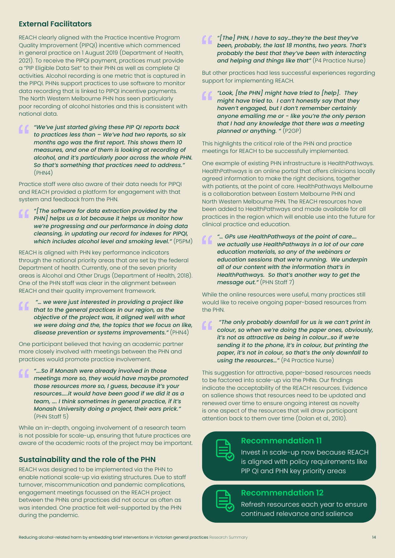# **External Facilitators**

REACH clearly aligned with the Practice Incentive Program Quality Improvement (PIPQI) incentive which commenced in general practice on 1 August 2019 (Department of Health, 2021). To receive the PIPQI payment, practices must provide a "PIP Eligible Data Set" to their PHN as well as complete QI activities. Alcohol recording is one metric that is captured in the PIPQI. PHNs support practices to use software to monitor data recording that is linked to PIPQI incentive payments. The North Western Melbourne PHN has seen particularly poor recording of alcohol histories and this is consistent with national data.

*"We've just started giving these PIP QI reports back to practices less than – We've had two reports, so six months ago was the first report. This shows them 10 measures, and one of them is looking at recording of alcohol, and it's particularly poor across the whole PHN. So that's something that practices need to address."*  (PHN4)

Practice staff were also aware of their data needs for PIPQI and REACH provided a platform for engagement with that system and feedback from the PHN.

*"[The software for data extraction provided by the PHN] helps us a lot because it helps us monitor how we're progressing and our performance in doing data cleansing, in updating our record for indexes for PIPQI, which includes alcohol level and smoking level."* (P5PM)

REACH is aligned with PHN key performance indicators through the national priority areas that are set by the federal Department of health. Currently, one of the seven priority areas is Alcohol and Other Drugs (Department of Health, 2018). One of the PHN staff was clear in the alignment between REACH and their quality improvement framework.

 *"… we were just interested in providing a project like that to the general practices in our region, as the objective of the project was, it aligned well with what we were doing and the, the topics that we focus on like, disease prevention or systems improvements."* (PHN4)

One participant believed that having an academic partner more closely involved with meetings between the PHN and practices would promote practice involvement.

*"….So if Monash were already involved in those meetings more so, they would have maybe promoted those resources more so, I guess, because it's your resources…..it would have been good if we did it as a team, …. I think sometimes in general practice, if it's Monash University doing a project, their ears prick."*  (PHN Staff 5)

While an in-depth, ongoing involvement of a research team is not possible for scale-up, ensuring that future practices are aware of the academic roots of the project may be important.

### **Sustainability and the role of the PHN**

REACH was designed to be implemented via the PHN to enable national scale-up via existing structures. Due to staff turnover, miscommunication and pandemic complications, engagement meetings focussed on the REACH project between the PHNs and practices did not occur as often as was intended. One practice felt well-supported by the PHN during the pandemic.

*"[The] PHN, I have to say…they're the best they've been, probably, the last 18 months, two years. That's probably the best that they've been with interacting and helping and things like that"* (P4 Practice Nurse)

But other practices had less successful experiences regarding support for implementing REACH.

*"Look, [the PHN] might have tried to [help]. They might have tried to. I can't honestly say that they haven't engaged, but I don't remember certainly anyone emailing me or - like you're the only person that I had any knowledge that there was a meeting planned or anything. "* (P2GP)

This highlights the critical role of the PHN and practice meetings for REACH to be successfully implemented.

One example of existing PHN infrastructure is HealthPathways. HealthPathways is an online portal that offers clinicians locally agreed information to make the right decisions, together with patients, at the point of care. HealthPathways Melbourne is a collaboration between Eastern Melbourne PHN and North Western Melbourne PHN. The REACH resources have been added to HealthPathways and made available for all practices in the region which will enable use into the future for clinical practice and education.

*"… GPs use HealthPathways at the point of care…. we actually use HealthPathways in a lot of our care education materials, so any of the webinars or education sessions that we're running. We underpin all of our content with the information that's in HealthPathways. So that's another way to get the message out."* (PHN Staff 7)

While the online resources were useful, many practices still would like to receive ongoing paper-based resources from the PHN.

 *"The only probably downfall for us is we can't print in colour, so when we're doing the paper ones, obviously, it's not as attractive as being in colour…so if we're sending it to the phone, it's in colour, but printing the paper, it's not in colour, so that's the only downfall to using the resources…"* (P4 Practice Nurse)

This suggestion for attractive, paper-based resources needs to be factored into scale-up via the PHNs. Our findings indicate the acceptability of the REACH resources. Evidence on salience shows that resources need to be updated and renewed over time to ensure ongoing interest as novelty is one aspect of the resources that will draw participant attention back to them over time (Dolan et al., 2010).



# **Recommendation 11**

Invest in scale-up now because REACH is aligned with policy requirements like PIP QI and PHN key priority areas



### **Recommendation 12**

Refresh resources each year to ensure continued relevance and salience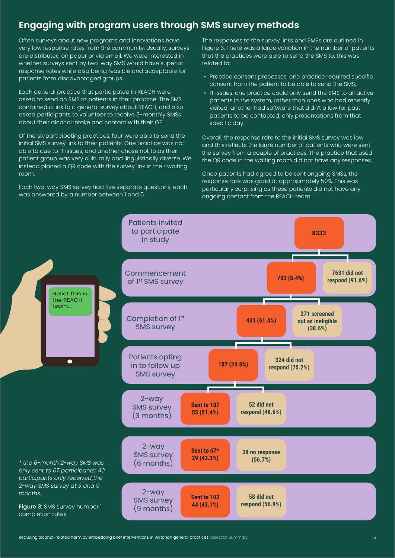# **Engaging with program users through SMS survey methods**

Patients invited to participate

Often surveys about new programs and innovations have very low response rates from the community. Usually, surveys are distributed on paper or via email. We were interested in whether surveys sent by two-way SMS would have superior response rates while also being feasible and acceptable for patients from disadvantaged groups.

Each general practice that participated in REACH were asked to send an SMS to patients in their practice. The SMS contained a link to a general survey about REACH, and also asked participants to volunteer to receive 3-monthly SMSs about their alcohol intake and contact with their GP.

Of the six participating practices, four were able to send the initial SMS survey link to their patients. One practice was not able to due to IT issues, and another chose not to as their patient group was very culturally and linguistically diverse. We instead placed a QR code with the survey link in their waiting room.

Each two-way SMS survey had five separate questions, each was answered by a number between 1 and 5.

The responses to the survey links and SMSs are outlined in Figure 3. There was a large variation in the number of patients that the practices were able to send the SMS to, this was related to:

- Practice consent processes: one practice required specific consent from the patient to be able to send the SMS;
- IT issues: one practice could only send the SMS to all active patients in the system, rather than ones who had recently visited; another had software that didn't allow for past patients to be contacted, only presentations from that specific day.

Overall, the response rate to the initial SMS survey was low and this reflects the large number of patients who were sent the survey from a couple of practices. The practice that used the QR code in the waiting room did not have any responses.

Once patients had agreed to be sent ongoing SMSs, the response rate was good at approximately 50%. This was particularly surprising as these patients did not have any ongoing contact from the REACH team.

**8333**

Hello! This is the REACH in study Commencement of 1<sup>st</sup> SMS survey Completion of 1<sup>st</sup> SMS survey Patients opting in to follow up SMS survey 2-way SMS survey (6 months) 2-way SMS survey (3 months) 2-way SMS survey (9 months) **702 (8.4%) 431 (61.4%) 107 (24.8%) Sent to 67\* 29 (43.3%) 7631 did not respond (91.6%) 271 screened out as ineligible (38.6%) 38 no response (56.7%) Sent to 107 55 (51.4%) 52 did not respond (48.6%) Sent to 102 44 (43.1%) 58 did not respond (56.9%) 324 did not respond (75.2%)**

*\* the 6-month 2-way SMS was only sent to 67 participants; 40 participants only received the 2-way SMS survey at 3 and 9 months.*

team...

Figure 3: SMS survey number 1 completion rates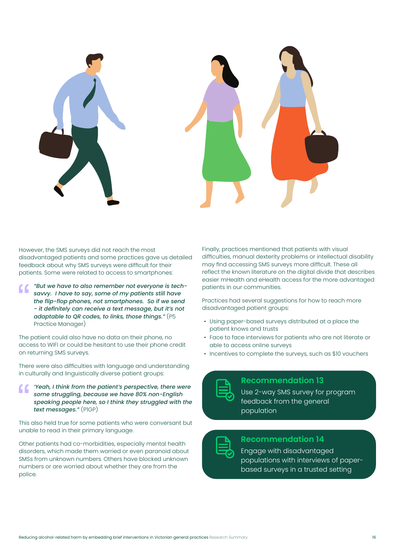

However, the SMS surveys did not reach the most disadvantaged patients and some practices gave us detailed feedback about why SMS surveys were difficult for their patients. Some were related to access to smartphones:

*"But we have to also remember not everyone is techsavvy. I have to say, some of my patients still have the flip-flop phones, not smartphones. So if we send - it definitely can receive a text message, but it's not adaptable to QR codes, to links, those things."* (P5 Practice Manager)

The patient could also have no data on their phone, no access to WIFI or could be hesitant to use their phone credit on returning SMS surveys.

There were also difficulties with language and understanding in culturally and linguistically diverse patient groups:

*'Yeah, I think from the patient's perspective, there were some struggling, because we have 80% non-English speaking people here, so I think they struggled with the text messages."* (P1GP)

This also held true for some patients who were conversant but unable to read in their primary language.

Other patients had co-morbidities, especially mental health disorders, which made them worried or even paranoid about SMSs from unknown numbers. Others have blocked unknown numbers or are worried about whether they are from the police.

Finally, practices mentioned that patients with visual difficulties, manual dexterity problems or intellectual disability may find accessing SMS surveys more difficult. These all reflect the known literature on the digital divide that describes easier mHealth and eHealth access for the more advantaged patients in our communities.

Practices had several suggestions for how to reach more disadvantaged patient groups:

- Using paper-based surveys distributed at a place the patient knows and trusts
- Face to face interviews for patients who are not literate or able to access online surveys
- Incentives to complete the surveys, such as \$10 vouchers

# **Recommendation 13**

Use 2-way SMS survey for program feedback from the general population

# **Recommendation 14**

Engage with disadvantaged populations with interviews of paperbased surveys in a trusted setting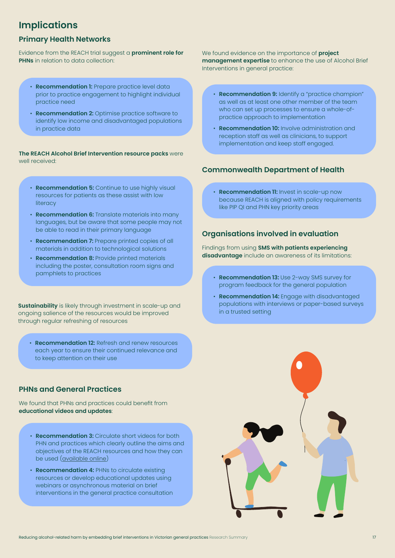# **Implications**

## **Primary Health Networks**

Evidence from the REACH trial suggest a **prominent role for PHNs** in relation to data collection:

- **Recommendation 1:** Prepare practice level data prior to practice engagement to highlight individual practice need
- **Recommendation 2:** Optimise practice software to identify low income and disadvantaged populations in practice data

**The REACH Alcohol Brief Intervention resource packs** were well received:

- **Recommendation 5:** Continue to use highly visual resources for patients as these assist with low **literacy**
- **Recommendation 6:** Translate materials into many languages, but be aware that some people may not be able to read in their primary language
- **Recommendation 7:** Prepare printed copies of all materials in addition to technological solutions
- **Recommendation 8:** Provide printed materials including the poster, consultation room signs and pamphlets to practices

**Sustainability** is likely through investment in scale-up and ongoing salience of the resources would be improved through regular refreshing of resources

• **Recommendation 12:** Refresh and renew resources each year to ensure their continued relevance and to keep attention on their use

# **PHNs and General Practices**

We found that PHNs and practices could benefit from **educational videos and updates**:

- **Recommendation 3:** Circulate short videos for both PHN and practices which clearly outline the aims and objectives of the REACH resources and how they can be used (available online)
- **Recommendation 4:** PHNs to circulate existing resources or develop educational updates using webinars or asynchronous material on brief interventions in the general practice consultation

We found evidence on the importance of **project management expertise** to enhance the use of Alcohol Brief Interventions in general practice:

- **Recommendation 9:** Identify a "practice champion" as well as at least one other member of the team who can set up processes to ensure a whole-ofpractice approach to implementation
- **Recommendation 10:** Involve administration and reception staff as well as clinicians, to support implementation and keep staff engaged.

# **Commonwealth Department of Health**

• **Recommendation 11:** Invest in scale-up now because REACH is aligned with policy requirements like PIP QI and PHN key priority areas

# **Organisations involved in evaluation**

Findings from using **SMS with patients experiencing disadvantage** include an awareness of its limitations:

- **Recommendation 13:** Use 2-way SMS survey for program feedback for the general population
- **Recommendation 14:** Engage with disadvantaged populations with interviews or paper-based surveys in a trusted setting

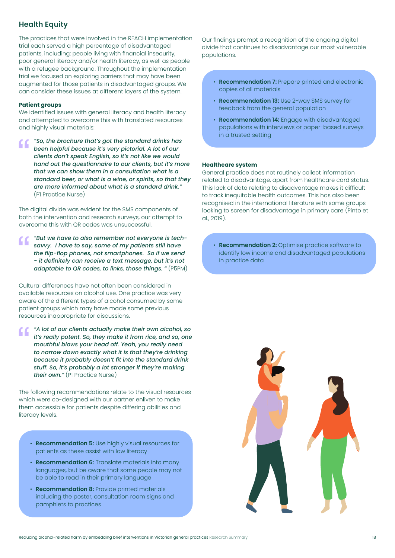# **Health Equity**

The practices that were involved in the REACH implementation trial each served a high percentage of disadvantaged patients, including: people living with financial insecurity, poor general literacy and/or health literacy, as well as people with a refugee background. Throughout the implementation trial we focused on exploring barriers that may have been augmented for those patients in disadvantaged groups. We can consider these issues at different layers of the system.

#### **Patient groups**

We identified issues with general literacy and health literacy and attempted to overcome this with translated resources and highly visual materials:

*"So, the brochure that's got the standard drinks has*  " *been helpful because it's very pictorial. A lot of our clients don't speak English, so it's not like we would hand out the questionnaire to our clients, but it's more that we can show them in a consultation what is a standard beer, or what is a wine, or spirits, so that they are more informed about what is a standard drink."* (P1 Practice Nurse)

The digital divide was evident for the SMS components of both the intervention and research surveys, our attempt to overcome this with QR codes was unsuccessful.

*"But we have to also remember not everyone is techsavvy. I have to say, some of my patients still have the flip-flop phones, not smartphones. So if we send - it definitely can receive a text message, but it's not adaptable to QR codes, to links, those things. "* (P5PM)

Cultural differences have not often been considered in available resources on alcohol use. One practice was very aware of the different types of alcohol consumed by some patient groups which may have made some previous resources inappropriate for discussions.

*"A lot of our clients actually make their own alcohol, so it's really potent. So, they make it from rice, and so, one mouthful blows your head off. Yeah, you really need to narrow down exactly what it is that they're drinking because it probably doesn't fit into the standard drink stuff. So, it's probably a lot stronger if they're making their own."* (P1 Practice Nurse)

The following recommendations relate to the visual resources which were co-designed with our partner enliven to make them accessible for patients despite differing abilities and literacy levels.

- **Recommendation 5:** Use highly visual resources for patients as these assist with low literacy
- **Recommendation 6:** Translate materials into many languages, but be aware that some people may not be able to read in their primary language
- **Recommendation 8:** Provide printed materials including the poster, consultation room signs and pamphlets to practices

Our findings prompt a recognition of the ongoing digital divide that continues to disadvantage our most vulnerable populations.

- **Recommendation 7:** Prepare printed and electronic copies of all materials
- **Recommendation 13:** Use 2-way SMS survey for feedback from the general population
- **Recommendation 14:** Engage with disadvantaged populations with interviews or paper-based surveys in a trusted setting

#### **Healthcare system**

General practice does not routinely collect information related to disadvantage, apart from healthcare card status. This lack of data relating to disadvantage makes it difficult to track inequitable health outcomes. This has also been recognised in the international literature with some groups looking to screen for disadvantage in primary care (Pinto et al., 2019).

**Recommendation 2: Optimise practice software to** identify low income and disadvantaged populations in practice data

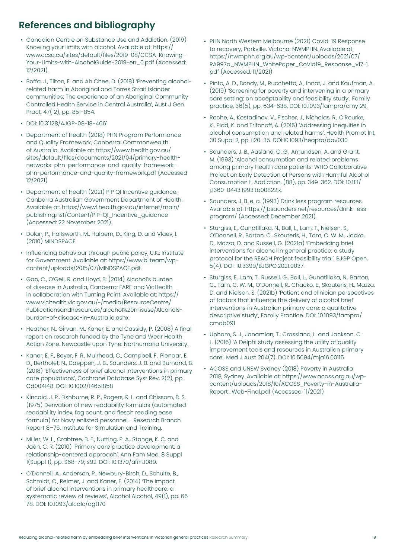# **References and bibliography**

- Canadian Centre on Substance Use and Addiction. (2019) Knowing your limits with alcohol. Available at: https:// www.ccsa.ca/sites/default/files/2019-08/CCSA-Knowing-Your-Limits-with-AlcoholGuide-2019-en\_0.pdf (Accessed: 12/2021).
- Boffa, J., Tilton, E. and Ah Chee, D. (2018) 'Preventing alcoholrelated harm in Aboriginal and Torres Strait Islander communities: The experience of an Aboriginal Community Controlled Health Service in Central Australia', Aust J Gen Pract, 47(12), pp. 851-854.
- DOI: 10.31128/AJGP-08-18-4661
- Department of Health (2018) PHN Program Performance and Quality Framework, Canberra: Commonwealth of Australia. Available at: https://www.health.gov.au/ sites/default/files/documents/2021/04/primary-healthnetworks-phn-performance-and-quality-frameworkphn-performance-and-quality-framework.pdf (Accessed 12/2021)
- Department of Health (2021) PIP QI Incentive guidance. Canberra Australian Government Department of Health. Available at: https://www1.health.gov.au/internet/main/ publishing.nsf/Content/PIP-QI\_Incentive\_guidance (Accessed: 22 November 2021).
- Dolan, P., Hallsworth, M., Halpern, D., King, D. and Vlaev, I. (2010) MINDSPACE
- Influencing behaviour through public policy, U.K.: Institute for Government. Available at: https://www.bi.team/wpcontent/uploads/2015/07/MINDSPACE.pdf.
- Gao, C., O'Geil, R. and Lloyd, B. (2014) Alcohol's burden of disease in Australia, Canberra: FARE and VicHealth in collaboration with Turning Point. Available at: https:// www.vichealth.vic.gov.au/~/media/ResourceCentre/ PublicationsandResources/alcohol%20misuse/Alcoholsburden-of-disease-in-Australia.ashx.
- Heather, N., Girvan, M., Kaner, E. and Cassidy, P. (2008) A final report on research funded by the Tyne and Wear Health Action Zone. Newcastle upon Tyne: Northumbria University.
- Kaner, E. F., Beyer, F. R., Muirhead, C., Campbell, F., Pienaar, E. D., Bertholet, N., Daeppen, J. B., Saunders, J. B. and Burnand, B. (2018) 'Effectiveness of brief alcohol interventions in primary care populations', Cochrane Database Syst Rev, 2(2), pp. Cd004148. DOI: 10.1002/14651858
- Kincaid, J. P., Fishburne, R. P., Rogers, R. L. and Chissom, B. S. (1975) Derivation of new readability formulas (automated readability index, fog count, and flesch reading ease formula) for Navy enlisted personnel. Research Branch Report 8–75. Institute for Simulation and Training.
- Miller, W. L., Crabtree, B. F., Nuttina, P. A., Stange, K. C. and Jaén, C. R. (2010) 'Primary care practice development: a relationship-centered approach', Ann Fam Med, 8 Suppl 1(Suppl 1), pp. S68-79; s92. DOI: 10.1370/afm.1089.
- O'Donnell, A., Anderson, P., Newbury-Birch, D., Schulte, B., Schmidt, C., Reimer, J. and Kaner, E. (2014) 'The impact of brief alcohol interventions in primary healthcare: a systematic review of reviews', Alcohol Alcohol, 49(1), pp. 66- 78. DOI: 10.1093/alcalc/agt170
- PHN North Western Melbourne (2021) Covid-19 Response to recovery, Parkville, Victoria: NWMPHN. Available at: https://nwmphn.org.au/wp-content/uploads/2021/07/ RA997a\_NWMPHN\_WhitePaper\_CoVid19\_Response\_v17-1. pdf (Accessed: 11/2021)
- Pinto, A. D., Bondy, M., Rucchetto, A., Ihnat, J. and Kaufman, A. (2019) 'Screening for poverty and intervening in a primary care setting: an acceptability and feasibility study', Family practice, 36(5), pp. 634-638. DOI: 10.1093/fampra/cmy129.
- Roche, A., Kostadinov, V., Fischer, J., Nicholas, R., O'Rourke, K., Pidd, K. and Trifonoff, A. (2015) 'Addressing inequities in alcohol consumption and related harms', Health Promot Int, 30 Suppl 2, pp. ii20-35. DOI:10.1093/heapro/dav030
- Saunders, J. B., Aasland, O. G., Amundsen, A. and Grant, M. (1993) 'Alcohol consumption and related problems among primary health care patients: WHO Collaborative Project on Early Detection of Persons with Harmful Alcohol Consumption I', Addiction, (88), pp. 349-362. DOI: 10.1111/ j.1360-0443.1993.tb00822.x.
- Saunders, J. B. e. a. (1993) Drink less program resources. Available at: https://jbsaunders.net/resources/drink-lessprogram/ (Accessed: December 2021).
- Sturgiss, E., Gunatillaka, N., Ball, L., Lam, T., Nielsen, S., O'Donnell, R., Barton, C., Skouteris, H., Tam, C. W. M., Jacka, D., Mazza, D. and Russell, G. (2021a) 'Embedding brief interventions for alcohol in general practice: a study protocol for the REACH Project feasibility trial', BJGP Open, 5(4). DOI: 10.3399/BJGPO.2021.0037.
- Sturgiss, E., Lam, T., Russell, G., Ball, L., Gunatillaka, N., Barton, C., Tam, C. W. M., O'Donnell, R., Chacko, E., Skouteris, H., Mazza, D. and Nielsen, S. (2021b) 'Patient and clinician perspectives of factors that influence the delivery of alcohol brief interventions in Australian primary care: a qualitative descriptive study', Family Practice. DOI: 10.1093/fampra/ cmab091
- Upham, S. J., Janamian, T., Crossland, L. and Jackson, C. L. (2016) 'A Delphi study assessing the utility of quality improvement tools and resources in Australian primary care', Med J Aust 204(7). DOI: 10.5694/mja16.00115
- ACOSS and UNSW Sydney (2018) Poverty in Australia 2018, Sydney. Available at: https://www.acoss.org.au/wpcontent/uploads/2018/10/ACOSS\_Poverty-in-Australia-Report\_Web-Final.pdf (Accessed: 11/2021)